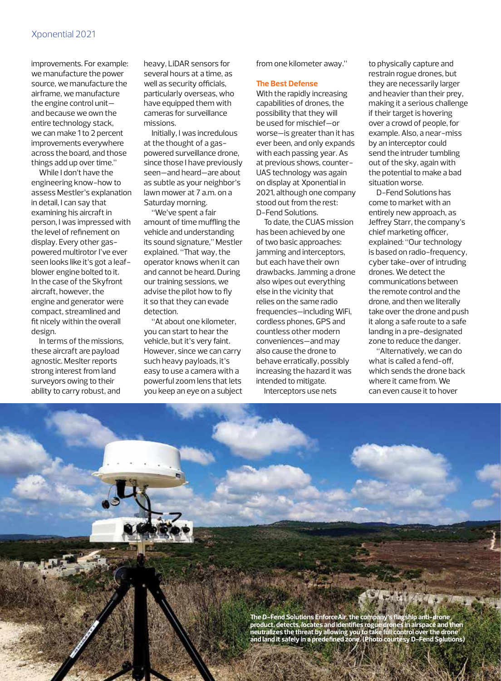improvements. For example: we manufacture the power source, we manufacture the airframe, we manufacture the engine control unit and because we own the entire technology stack, we can make 1 to 2 percent improvements everywhere across the board, and those things add up over time."

While I don't have the engineering know-how to assess Mestler's explanation in detail, I can say that examining his aircraft in person, I was impressed with the level of refinement on display. Every other gaspowered multirotor I've ever seen looks like it's got a leafblower engine bolted to it. In the case of the Skyfront aircraft, however, the engine and generator were compact, streamlined and fit nicely within the overall design.

In terms of the missions, these aircraft are payload agnostic. Meslter reports strong interest from land surveyors owing to their ability to carry robust, and

heavy, LiDAR sensors for several hours at a time, as well as security officials, particularly overseas, who have equipped them with cameras for surveillance missions.

Initially, I was incredulous at the thought of a gaspowered surveillance drone, since those I have previously seen—and heard—are about as subtle as your neighbor's lawn mower at 7 a.m. on a Saturday morning.

"We've spent a fair amount of time muffling the vehicle and understanding its sound signature," Mestler explained. "That way, the operator knows when it can and cannot be heard. During our training sessions, we advise the pilot how to fly it so that they can evade detection.

"At about one kilometer, you can start to hear the vehicle, but it's very faint. However, since we can carry such heavy payloads, it's easy to use a camera with a powerful zoom lens that lets you keep an eye on a subject from one kilometer away."

## **The Best Defense**

With the rapidly increasing capabilities of drones, the possibility that they will be used for mischief—or worse—is greater than it has ever been, and only expands with each passing year. As at previous shows, counter-UAS technology was again on display at Xponential in 2021, although one company stood out from the rest: D-Fend Solutions.

To date, the CUAS mission has been achieved by one of two basic approaches: jamming and interceptors, but each have their own drawbacks. Jamming a drone also wipes out everything else in the vicinity that relies on the same radio frequencies—including WiFi, cordless phones, GPS and countless other modern conveniences—and may also cause the drone to behave erratically, possibly increasing the hazard it was intended to mitigate.

Interceptors use nets

to physically capture and restrain rogue drones, but they are necessarily larger and heavier than their prey, making it a serious challenge if their target is hovering over a crowd of people, for example. Also, a near-miss by an interceptor could send the intruder tumbling out of the sky, again with the potential to make a bad situation worse.

D-Fend Solutions has come to market with an entirely new approach, as Jeffrey Starr, the company's chief marketing officer, explained: "Our technology is based on radio-frequency, cyber take-over of intruding drones. We detect the communications between the remote control and the drone, and then we literally take over the drone and push it along a safe route to a safe landing in a pre-designated zone to reduce the danger.

"Alternatively, we can do what is called a fend-off, which sends the drone back where it came from. We can even cause it to hover